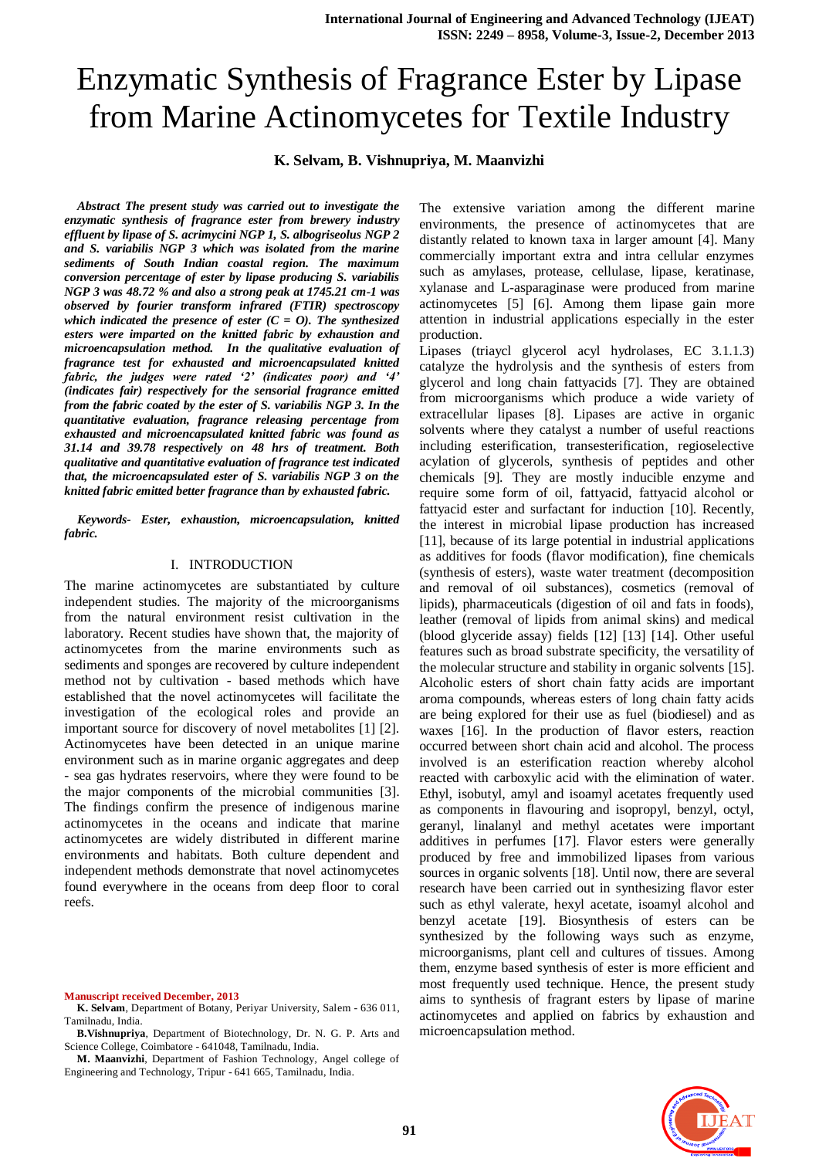# Enzymatic Synthesis of Fragrance Ester by Lipase from Marine Actinomycetes for Textile Industry

## **K. Selvam, B. Vishnupriya, M. Maanvizhi**

*Abstract The present study was carried out to investigate the enzymatic synthesis of fragrance ester from brewery industry effluent by lipase of S. acrimycini NGP 1, S. albogriseolus NGP 2 and S. variabilis NGP 3 which was isolated from the marine sediments of South Indian coastal region. The maximum conversion percentage of ester by lipase producing S. variabilis NGP 3 was 48.72 % and also a strong peak at 1745.21 cm-1 was observed by fourier transform infrared (FTIR) spectroscopy which indicated the presence of ester (C = O). The synthesized esters were imparted on the knitted fabric by exhaustion and microencapsulation method. In the qualitative evaluation of fragrance test for exhausted and microencapsulated knitted fabric, the judges were rated '2' (indicates poor) and '4' (indicates fair) respectively for the sensorial fragrance emitted from the fabric coated by the ester of S. variabilis NGP 3. In the quantitative evaluation, fragrance releasing percentage from exhausted and microencapsulated knitted fabric was found as 31.14 and 39.78 respectively on 48 hrs of treatment. Both qualitative and quantitative evaluation of fragrance test indicated that, the microencapsulated ester of S. variabilis NGP 3 on the knitted fabric emitted better fragrance than by exhausted fabric.*

*Keywords- Ester, exhaustion, microencapsulation, knitted fabric.*

#### I. INTRODUCTION

The marine actinomycetes are substantiated by culture independent studies. The majority of the microorganisms from the natural environment resist cultivation in the laboratory. Recent studies have shown that, the majority of actinomycetes from the marine environments such as sediments and sponges are recovered by culture independent method not by cultivation - based methods which have established that the novel actinomycetes will facilitate the investigation of the ecological roles and provide an important source for discovery of novel metabolites [1] [2]. Actinomycetes have been detected in an unique marine environment such as in marine organic aggregates and deep - sea gas hydrates reservoirs, where they were found to be the major components of the microbial communities [3]. The findings confirm the presence of indigenous marine actinomycetes in the oceans and indicate that marine actinomycetes are widely distributed in different marine environments and habitats. Both culture dependent and independent methods demonstrate that novel actinomycetes found everywhere in the oceans from deep floor to coral reefs.

**Manuscript received December, 2013**

The extensive variation among the different marine environments, the presence of actinomycetes that are distantly related to known taxa in larger amount [4]. Many commercially important extra and intra cellular enzymes such as amylases, protease, cellulase, lipase, keratinase, xylanase and L-asparaginase were produced from marine actinomycetes [5] [6]. Among them lipase gain more attention in industrial applications especially in the ester production.

Lipases (triaycl glycerol acyl hydrolases, EC 3.1.1.3) catalyze the hydrolysis and the synthesis of esters from glycerol and long chain fattyacids [7]. They are obtained from microorganisms which produce a wide variety of extracellular lipases [8]. Lipases are active in organic solvents where they catalyst a number of useful reactions including esterification, transesterification, regioselective acylation of glycerols, synthesis of peptides and other chemicals [9]. They are mostly inducible enzyme and require some form of oil, fattyacid, fattyacid alcohol or fattyacid ester and surfactant for induction [10]. Recently, the interest in microbial lipase production has increased [11], because of its large potential in industrial applications as additives for foods (flavor modification), fine chemicals (synthesis of esters), waste water treatment (decomposition and removal of oil substances), cosmetics (removal of lipids), pharmaceuticals (digestion of oil and fats in foods), leather (removal of lipids from animal skins) and medical (blood glyceride assay) fields [12] [13] [14]. Other useful features such as broad substrate specificity, the versatility of the molecular structure and stability in organic solvents [15]. Alcoholic esters of short chain fatty acids are important aroma compounds, whereas esters of long chain fatty acids are being explored for their use as fuel (biodiesel) and as waxes [16]. In the production of flavor esters, reaction occurred between short chain acid and alcohol. The process involved is an esterification reaction whereby alcohol reacted with carboxylic acid with the elimination of water. Ethyl, isobutyl, amyl and isoamyl acetates frequently used as components in flavouring and isopropyl, benzyl, octyl, geranyl, linalanyl and methyl acetates were important additives in perfumes [17]. Flavor esters were generally produced by free and immobilized lipases from various sources in organic solvents [18]. Until now, there are several research have been carried out in synthesizing flavor ester such as ethyl valerate, hexyl acetate, isoamyl alcohol and benzyl acetate [19]. Biosynthesis of esters can be synthesized by the following ways such as enzyme, microorganisms, plant cell and cultures of tissues. Among them, enzyme based synthesis of ester is more efficient and most frequently used technique. Hence, the present study aims to synthesis of fragrant esters by lipase of marine actinomycetes and applied on fabrics by exhaustion and microencapsulation method.



**K. Selvam**, Department of Botany, Periyar University, Salem - 636 011, Tamilnadu, India.

**B.Vishnupriya**, Department of Biotechnology, Dr. N. G. P. Arts and Science College, Coimbatore - 641048, Tamilnadu, India.

**M. Maanvizhi**, Department of Fashion Technology, Angel college of Engineering and Technology, Tripur - 641 665, Tamilnadu, India.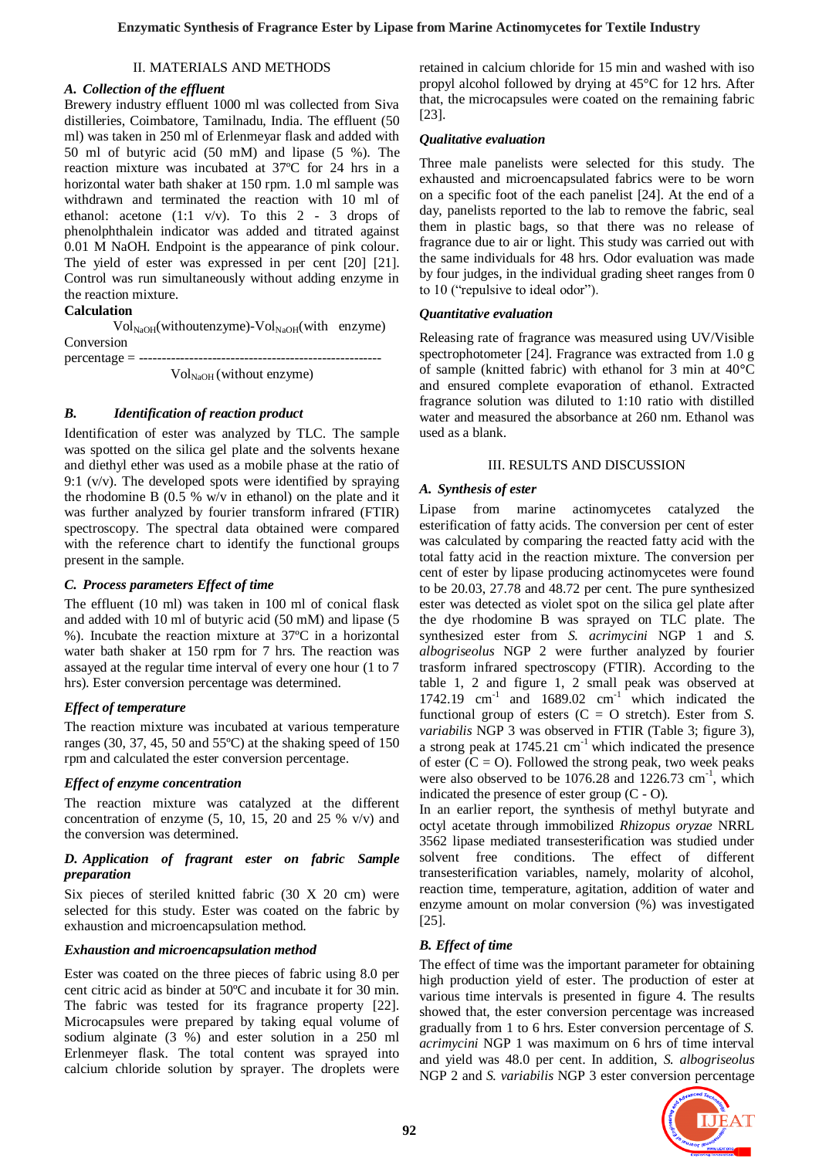### II. MATERIALS AND METHODS

#### *A. Collection of the effluent*

Brewery industry effluent 1000 ml was collected from Siva distilleries, Coimbatore, Tamilnadu, India. The effluent (50 ml) was taken in 250 ml of Erlenmeyar flask and added with 50 ml of butyric acid (50 mM) and lipase (5 %). The reaction mixture was incubated at 37ºC for 24 hrs in a horizontal water bath shaker at 150 rpm. 1.0 ml sample was withdrawn and terminated the reaction with 10 ml of ethanol: acetone (1:1 v/v). To this 2 - 3 drops of phenolphthalein indicator was added and titrated against 0.01 M NaOH. Endpoint is the appearance of pink colour. The yield of ester was expressed in per cent [20] [21]. Control was run simultaneously without adding enzyme in the reaction mixture.

## **Calculation**

 $\text{Vol}_{\text{NaOH}}(\text{without enzyme})$ - $\text{Vol}_{\text{NaOH}}(\text{with enzyme})$ Conversion  $percentage = --- -$ 

 $Vol_{NaOH}$  (without enzyme)

#### *B. Identification of reaction product*

Identification of ester was analyzed by TLC. The sample was spotted on the silica gel plate and the solvents hexane and diethyl ether was used as a mobile phase at the ratio of 9:1  $(v/v)$ . The developed spots were identified by spraying the rhodomine B (0.5 % w/v in ethanol) on the plate and it was further analyzed by fourier transform infrared (FTIR) spectroscopy. The spectral data obtained were compared with the reference chart to identify the functional groups present in the sample.

#### *C. Process parameters Effect of time*

The effluent (10 ml) was taken in 100 ml of conical flask and added with 10 ml of butyric acid (50 mM) and lipase (5 %). Incubate the reaction mixture at 37ºC in a horizontal water bath shaker at 150 rpm for 7 hrs. The reaction was assayed at the regular time interval of every one hour (1 to 7 hrs). Ester conversion percentage was determined.

### *Effect of temperature*

The reaction mixture was incubated at various temperature ranges (30, 37, 45, 50 and 55ºC) at the shaking speed of 150 rpm and calculated the ester conversion percentage.

### *Effect of enzyme concentration*

The reaction mixture was catalyzed at the different concentration of enzyme  $(5, 10, 15, 20, 20, 25, 80)$  and the conversion was determined.

#### *D. Application of fragrant ester on fabric Sample preparation*

Six pieces of steriled knitted fabric (30 X 20 cm) were selected for this study. Ester was coated on the fabric by exhaustion and microencapsulation method.

#### *Exhaustion and microencapsulation method*

Ester was coated on the three pieces of fabric using 8.0 per cent citric acid as binder at 50ºC and incubate it for 30 min. The fabric was tested for its fragrance property [22]. Microcapsules were prepared by taking equal volume of sodium alginate (3 %) and ester solution in a 250 ml Erlenmeyer flask. The total content was sprayed into calcium chloride solution by sprayer. The droplets were retained in calcium chloride for 15 min and washed with iso propyl alcohol followed by drying at 45°C for 12 hrs. After that, the microcapsules were coated on the remaining fabric [23].

#### *Qualitative evaluation*

Three male panelists were selected for this study. The exhausted and microencapsulated fabrics were to be worn on a specific foot of the each panelist [24]. At the end of a day, panelists reported to the lab to remove the fabric, seal them in plastic bags, so that there was no release of fragrance due to air or light. This study was carried out with the same individuals for 48 hrs. Odor evaluation was made by four judges, in the individual grading sheet ranges from 0 to 10 ("repulsive to ideal odor").

#### *Quantitative evaluation*

Releasing rate of fragrance was measured using UV/Visible spectrophotometer [24]. Fragrance was extracted from 1.0 g of sample (knitted fabric) with ethanol for 3 min at 40**°**C and ensured complete evaporation of ethanol. Extracted fragrance solution was diluted to 1:10 ratio with distilled water and measured the absorbance at 260 nm. Ethanol was used as a blank.

#### III. RESULTS AND DISCUSSION

#### *A. Synthesis of ester*

Lipase from marine actinomycetes catalyzed the esterification of fatty acids. The conversion per cent of ester was calculated by comparing the reacted fatty acid with the total fatty acid in the reaction mixture. The conversion per cent of ester by lipase producing actinomycetes were found to be 20.03, 27.78 and 48.72 per cent. The pure synthesized ester was detected as violet spot on the silica gel plate after the dye rhodomine B was sprayed on TLC plate. The synthesized ester from *S. acrimycini* NGP 1 and *S. albogriseolus* NGP 2 were further analyzed by fourier trasform infrared spectroscopy (FTIR). According to the table 1, 2 and figure 1, 2 small peak was observed at 1742.19  $cm^{-1}$  and 1689.02  $cm^{-1}$  which indicated the functional group of esters  $(C = O \text{ stretch})$ . Ester from *S*. *variabilis* NGP 3 was observed in FTIR (Table 3; figure 3), a strong peak at  $1745.21 \text{ cm}^{-1}$  which indicated the presence of ester  $(C = 0)$ . Followed the strong peak, two week peaks were also observed to be 1076.28 and 1226.73 cm<sup>-1</sup>, which indicated the presence of ester group (C - O).

In an earlier report, the synthesis of methyl butyrate and octyl acetate through immobilized *Rhizopus oryzae* NRRL 3562 lipase mediated transesterification was studied under solvent free conditions. The effect of different transesterification variables, namely, molarity of alcohol, reaction time, temperature, agitation, addition of water and enzyme amount on molar conversion (%) was investigated [25].

### *B. Effect of time*

The effect of time was the important parameter for obtaining high production yield of ester. The production of ester at various time intervals is presented in figure 4. The results showed that, the ester conversion percentage was increased gradually from 1 to 6 hrs. Ester conversion percentage of *S. acrimycini* NGP 1 was maximum on 6 hrs of time interval and yield was 48.0 per cent. In addition, *S. albogriseolus*  NGP 2 and *S. variabilis* NGP 3 ester conversion percentage

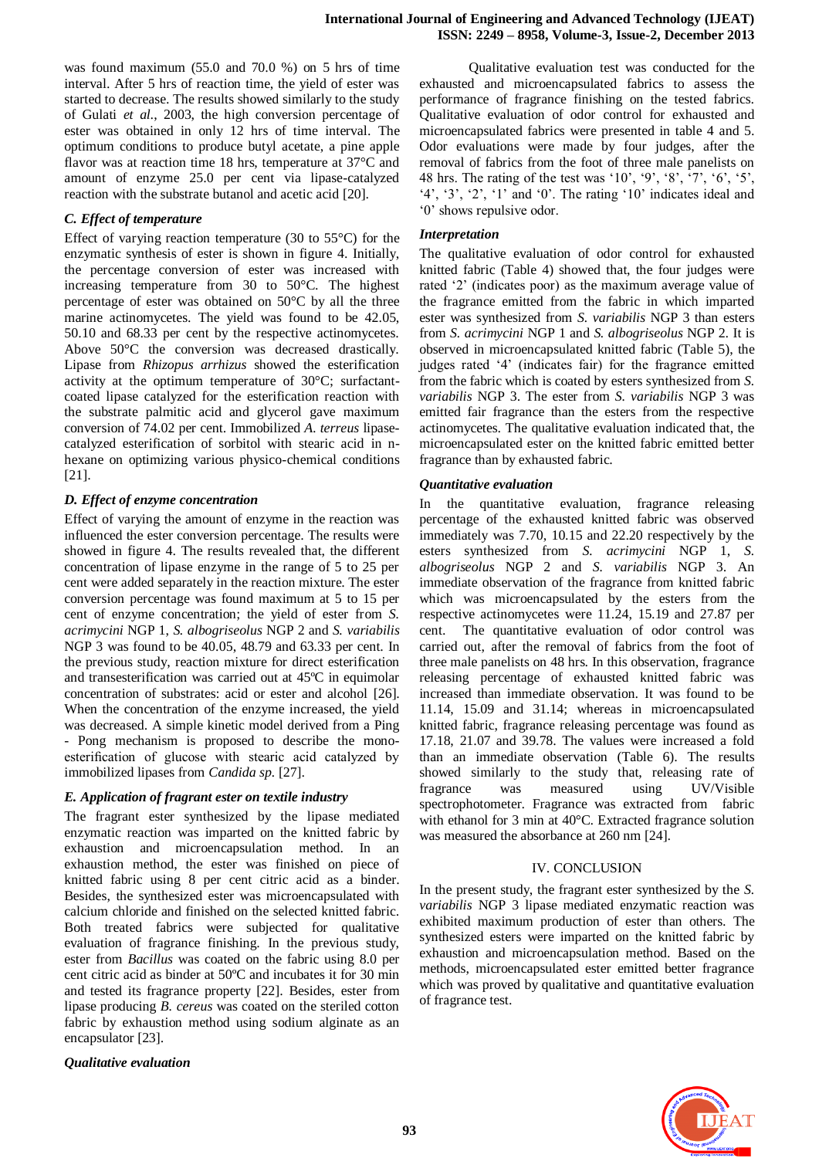was found maximum (55.0 and 70.0 %) on 5 hrs of time interval. After 5 hrs of reaction time, the yield of ester was started to decrease. The results showed similarly to the study of Gulati *et al*., 2003, the high conversion percentage of ester was obtained in only 12 hrs of time interval. The optimum conditions to produce butyl acetate, a pine apple flavor was at reaction time 18 hrs, temperature at 37°C and amount of enzyme 25.0 per cent via lipase-catalyzed reaction with the substrate butanol and acetic acid [20].

## *C. Effect of temperature*

Effect of varying reaction temperature (30 to 55°C) for the enzymatic synthesis of ester is shown in figure 4. Initially, the percentage conversion of ester was increased with increasing temperature from 30 to 50°C. The highest percentage of ester was obtained on 50°C by all the three marine actinomycetes. The yield was found to be 42.05, 50.10 and 68.33 per cent by the respective actinomycetes. Above 50°C the conversion was decreased drastically. Lipase from *Rhizopus arrhizus* showed the esterification activity at the optimum temperature of 30°C; surfactantcoated lipase catalyzed for the esterification reaction with the substrate palmitic acid and glycerol gave maximum conversion of 74.02 per cent. Immobilized *A. terreus* lipasecatalyzed esterification of sorbitol with stearic acid in nhexane on optimizing various physico-chemical conditions [21].

## *D. Effect of enzyme concentration*

Effect of varying the amount of enzyme in the reaction was influenced the ester conversion percentage. The results were showed in figure 4. The results revealed that, the different concentration of lipase enzyme in the range of 5 to 25 per cent were added separately in the reaction mixture. The ester conversion percentage was found maximum at 5 to 15 per cent of enzyme concentration; the yield of ester from *S. acrimycini* NGP 1, *S. albogriseolus* NGP 2 and *S. variabilis*  NGP 3 was found to be 40.05, 48.79 and 63.33 per cent. In the previous study, reaction mixture for direct esterification and transesterification was carried out at 45ºC in equimolar concentration of substrates: acid or ester and alcohol [26]. When the concentration of the enzyme increased, the yield was decreased. A simple kinetic model derived from a Ping - Pong mechanism is proposed to describe the monoesterification of glucose with stearic acid catalyzed by immobilized lipases from *Candida sp.* [27].

## *E. Application of fragrant ester on textile industry*

The fragrant ester synthesized by the lipase mediated enzymatic reaction was imparted on the knitted fabric by exhaustion and microencapsulation method. In an exhaustion method, the ester was finished on piece of knitted fabric using 8 per cent citric acid as a binder. Besides, the synthesized ester was microencapsulated with calcium chloride and finished on the selected knitted fabric. Both treated fabrics were subjected for qualitative evaluation of fragrance finishing. In the previous study, ester from *Bacillus* was coated on the fabric using 8.0 per cent citric acid as binder at 50ºC and incubates it for 30 min and tested its fragrance property [22]. Besides, ester from lipase producing *B. cereus* was coated on the steriled cotton fabric by exhaustion method using sodium alginate as an encapsulator [23].

*Qualitative evaluation* 

Qualitative evaluation test was conducted for the exhausted and microencapsulated fabrics to assess the performance of fragrance finishing on the tested fabrics. Qualitative evaluation of odor control for exhausted and microencapsulated fabrics were presented in table 4 and 5. Odor evaluations were made by four judges, after the removal of fabrics from the foot of three male panelists on 48 hrs. The rating of the test was '10', '9', '8', '7', '6', '5', '4', '3', '2', '1' and '0'. The rating '10' indicates ideal and '0' shows repulsive odor.

## *Interpretation*

The qualitative evaluation of odor control for exhausted knitted fabric (Table 4) showed that, the four judges were rated '2' (indicates poor) as the maximum average value of the fragrance emitted from the fabric in which imparted ester was synthesized from *S. variabilis* NGP 3 than esters from *S. acrimycini* NGP 1 and *S. albogriseolus* NGP 2. It is observed in microencapsulated knitted fabric (Table 5), the judges rated '4' (indicates fair) for the fragrance emitted from the fabric which is coated by esters synthesized from *S. variabilis* NGP 3. The ester from *S. variabilis* NGP 3 was emitted fair fragrance than the esters from the respective actinomycetes. The qualitative evaluation indicated that, the microencapsulated ester on the knitted fabric emitted better fragrance than by exhausted fabric.

## *Quantitative evaluation*

In the quantitative evaluation, fragrance releasing percentage of the exhausted knitted fabric was observed immediately was 7.70, 10.15 and 22.20 respectively by the esters synthesized from *S. acrimycini* NGP 1, *S. albogriseolus* NGP 2 and *S. variabilis* NGP 3. An immediate observation of the fragrance from knitted fabric which was microencapsulated by the esters from the respective actinomycetes were 11.24, 15.19 and 27.87 per cent. The quantitative evaluation of odor control was carried out, after the removal of fabrics from the foot of three male panelists on 48 hrs. In this observation, fragrance releasing percentage of exhausted knitted fabric was increased than immediate observation. It was found to be 11.14, 15.09 and 31.14; whereas in microencapsulated knitted fabric, fragrance releasing percentage was found as 17.18, 21.07 and 39.78. The values were increased a fold than an immediate observation (Table 6). The results showed similarly to the study that, releasing rate of fragrance was measured using UV/Visible spectrophotometer. Fragrance was extracted from fabric with ethanol for 3 min at 40°C. Extracted fragrance solution was measured the absorbance at 260 nm [24].

## IV. CONCLUSION

In the present study, the fragrant ester synthesized by the *S. variabilis* NGP 3 lipase mediated enzymatic reaction was exhibited maximum production of ester than others. The synthesized esters were imparted on the knitted fabric by exhaustion and microencapsulation method. Based on the methods, microencapsulated ester emitted better fragrance which was proved by qualitative and quantitative evaluation of fragrance test.

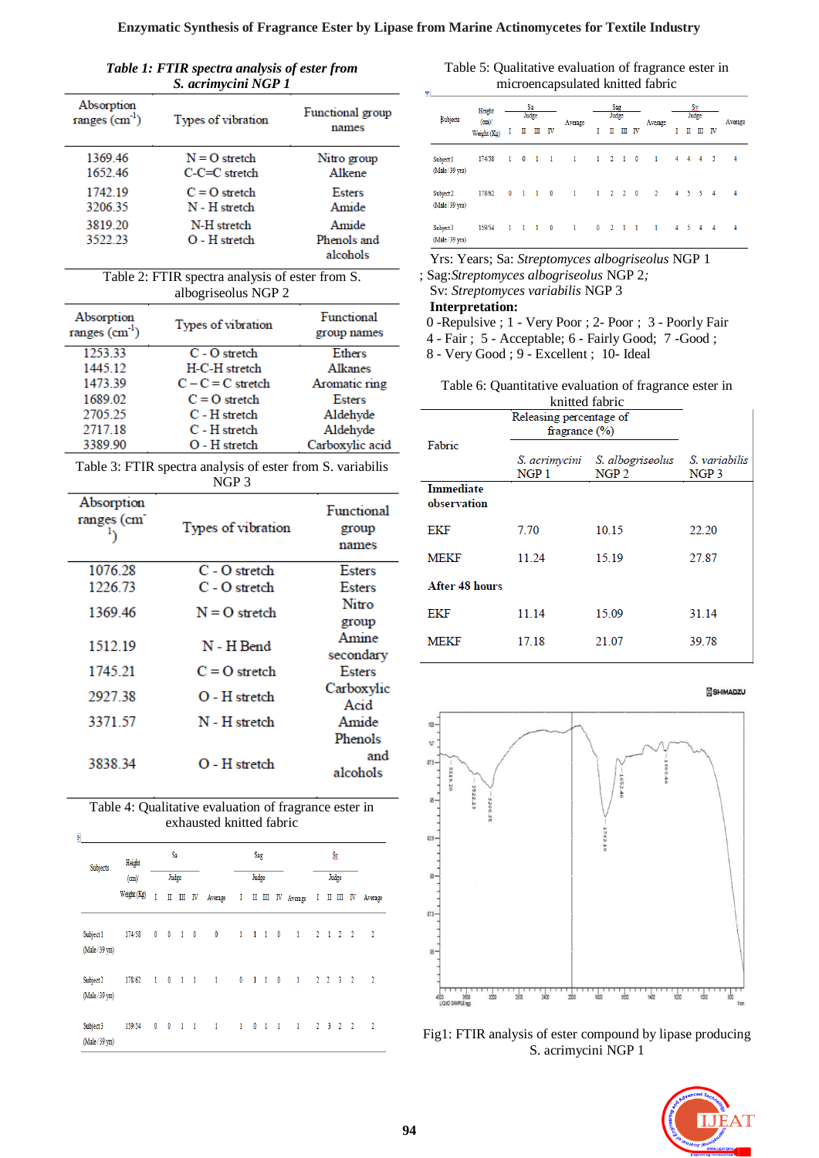*Table 1: FTIR spectra analysis of ester from S. acrimycini NGP 1*

| Absorption<br>ranges $(cm-1)$ | Types of vibration                 | Functional group<br>names        |
|-------------------------------|------------------------------------|----------------------------------|
| 136946<br>1652.46             | $N = O$ stretch<br>$C-C=C$ stretch | Nitro group<br>Alkene            |
| 1742.19<br>320635             | $C = O$ stretch<br>N - H stretch   | Esters<br>Amide                  |
| 3819.20<br>3522.23            | N-H stretch<br>$O - H$ stretch     | Amide<br>Phenols and<br>alcohols |

Table 2: FTIR spectra analysis of ester from S. albogriseolus NGP 2

| Absorption<br>ranges $(cm-1)$ | Types of vibration  | Functional<br>group names |
|-------------------------------|---------------------|---------------------------|
| 1253.33                       | $C - O$ stretch     | Ethers                    |
| 1445.12                       | H-C-H stretch       | Alkanes                   |
| 1473.39                       | $C - C = C$ stretch | Aromatic ring             |
| 1689.02                       | $C = Q$ stretch     | <b>Esters</b>             |
| 2705.25                       | C - H stretch       | Aldehyde                  |
| 2717.18                       | C - H stretch       | Aldehyde                  |
| 3389.90                       | $O - H$ stretch     | Carboxylic acid           |

Table 3: FTIR spectra analysis of ester from S. variabilis NGP 3

| Absorption<br>ranges (cm | Types of vibration | <b>Functional</b><br>group<br>names |  |  |  |  |
|--------------------------|--------------------|-------------------------------------|--|--|--|--|
| 1076.28                  | $C - O$ stretch    | <b>Esters</b>                       |  |  |  |  |
| 1226.73                  | C - O stretch      | <b>Esters</b>                       |  |  |  |  |
| 1369.46                  | $N = 0$ stretch    | Nitro                               |  |  |  |  |
|                          |                    | group                               |  |  |  |  |
| 1512.19                  | N - H Bend         | Amine                               |  |  |  |  |
|                          |                    | secondary                           |  |  |  |  |
| 1745 21                  | $C = Q$ stretch    | Esters                              |  |  |  |  |
| 292738                   | O - H stretch      | Carboxylic                          |  |  |  |  |
|                          |                    | Acid                                |  |  |  |  |
| 3371.57                  | N - H stretch      | Amide                               |  |  |  |  |
|                          |                    | Phenols                             |  |  |  |  |
| 3838 34                  | $O - H$ stretch    | and                                 |  |  |  |  |
|                          |                    | alcohols                            |  |  |  |  |

| Table 4: Qualitative evaluation of fragrance ester in<br>exhausted knitted fabric |             |   |                          |             |    |                |   |                     |   |                          |                |   |             |                             |               |                |
|-----------------------------------------------------------------------------------|-------------|---|--------------------------|-------------|----|----------------|---|---------------------|---|--------------------------|----------------|---|-------------|-----------------------------|---------------|----------------|
| ţ.<br>Sa<br>Height<br>Subjects                                                    |             |   |                          |             |    | Sag            |   |                     |   | Sx                       |                |   |             |                             |               |                |
|                                                                                   | (cm)        |   |                          | Judge       |    |                |   | Judge               |   |                          |                |   |             | Judge                       |               |                |
|                                                                                   | Weight (Kg) | T | Π                        | Ш           | IV | Average        | I | Π                   | Ш | IV                       | Average        | I | Π           | Ш                           | IV            | Average        |
| Subject 1<br>(Male/39 yrs)                                                        | 174/58      | 0 | $\overline{\phantom{0}}$ | $1 \quad 0$ |    | 0              |   | $1 \t1 \t1$         |   | $\overline{\phantom{0}}$ | $\blacksquare$ |   |             | $2 \t1 \t2 \t2$             |               | $\overline{2}$ |
| Subject 2<br>(Male/39 yrs)                                                        | 178/62      |   | $1 \quad 0$              | $-1$ $1$    |    | $\overline{1}$ |   | $0 \t1 \t1$         |   | $\overline{\phantom{0}}$ | $\sim$ 1       |   | $2 \t2 \t3$ |                             | $\frac{1}{2}$ | $\overline{2}$ |
| Subject 3<br>(Male/39 yrs)                                                        | 159/54      |   | $0\qquad 0$              | $-1$ $-1$   |    | $\mathbf{1}$   |   | $1 \quad 0 \quad 1$ |   | $\blacksquare$           | $\blacksquare$ |   |             | $2 \quad 3 \quad 2 \quad 2$ |               | $\overline{2}$ |

Table 5: Qualitative evaluation of fragrance ester in microencapsulated knitted fabric

| Height<br><b>Subjects</b><br>(m)<br>Weight (Kg) |        | Sa<br>Judge  |                          |                |                          | Sag<br>Judge |              |                     |      | Sx.<br>Judge             |                |                |                     | Average        |                |   |
|-------------------------------------------------|--------|--------------|--------------------------|----------------|--------------------------|--------------|--------------|---------------------|------|--------------------------|----------------|----------------|---------------------|----------------|----------------|---|
|                                                 | П      | П            | Ш                        | <b>IV</b>      | Average                  | I            | П            | Ш                   | - IV | Average                  |                | П              | Ш                   | IV             |                |   |
| Subject 1<br>(Male/39 yrs)                      | 174/58 | $\mathbf{1}$ | $\overline{\phantom{0}}$ | $\mathbf{1}$   | $\overline{1}$           | $\mathbf{1}$ |              | $1 \quad 2 \quad 1$ |      | $\overline{\phantom{a}}$ | 1              | $\overline{4}$ | 4                   | 4              | - 5            | 4 |
| Subject 2<br>(Male/39 yrs)                      | 178/62 | $\mathbf{0}$ | $\mathbf{1}$             | $\blacksquare$ | $\overline{\phantom{0}}$ | $\mathbf{1}$ |              | $1 \quad 2 \quad 2$ |      | $\overline{\phantom{0}}$ | $\overline{2}$ | 4 <sup>1</sup> |                     | 5 <sub>5</sub> | $\overline{4}$ | 4 |
| Subject 3<br>(Male/39 yrs)                      | 159/54 | $\mathbf{1}$ | $\mathbf{1}$             | $\blacksquare$ | $\overline{\phantom{0}}$ | $\mathbf{1}$ | $\mathbf{0}$ | $2 \quad 1$         |      | $\blacksquare$           | $\mathbf{1}$   |                | $4 \quad 5 \quad 4$ |                | $\overline{4}$ | 4 |

Yrs: Years; Sa: *Streptomyces albogriseolus* NGP 1

; Sag:*Streptomyces albogriseolus* NGP 2*;*

Sv: *Streptomyces variabilis* NGP 3

 **Interpretation:**

0 -Repulsive ; 1 - Very Poor ; 2- Poor ; 3 - Poorly Fair

4 - Fair ; 5 - Acceptable; 6 - Fairly Good; 7 -Good ;

8 - Very Good ; 9 - Excellent ; 10- Ideal

| Table 6: Quantitative evaluation of fragrance ester in |
|--------------------------------------------------------|
| knitted fabric                                         |

|                          | Releasing percentage of<br>fragrance $(\%)$                      |                  |       |  |  |  |
|--------------------------|------------------------------------------------------------------|------------------|-------|--|--|--|
| Fabric                   | S. acrimycini S. albogriseolus S. variabilis<br>NGP <sub>1</sub> | NGP <sub>3</sub> |       |  |  |  |
| Immediate<br>observation |                                                                  |                  |       |  |  |  |
| EKF                      | 7.70                                                             | 10.15            | 22.20 |  |  |  |
| <b>MEKF</b>              | 11.24                                                            | 15.19            | 27.87 |  |  |  |
| After 48 hours           |                                                                  |                  |       |  |  |  |
| EKF                      | 11.14                                                            | 15.09            | 31.14 |  |  |  |
| MEKF                     | 17.18                                                            | 21.07            | 39.78 |  |  |  |

SHIMADZU



Fig1: FTIR analysis of ester compound by lipase producing S. acrimycini NGP 1

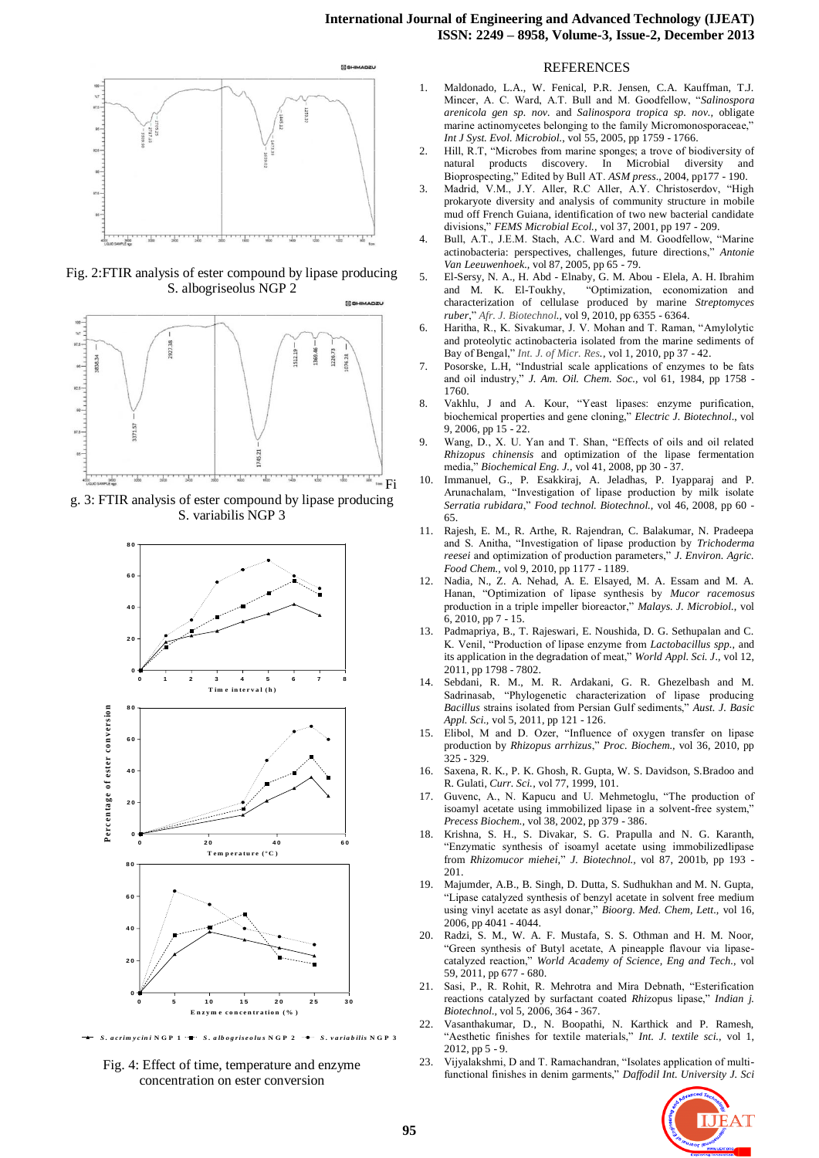

Fig. 2:FTIR analysis of ester compound by lipase producing S. albogriseolus NGP 2



g. 3: FTIR analysis of ester compound by lipase producing S. variabilis NGP 3



S. acrimycini NGP 1 .- S. albogriseolus NGP 2 .... S. variabilis NGP 3

Fig. 4: Effect of time, temperature and enzyme concentration on ester conversion

#### REFERENCES

- 1. Maldonado, L.A., W. Fenical, P.R. Jensen, C.A. Kauffman, T.J. Mincer, A. C. Ward, A.T. Bull and M. Goodfellow, "*Salinospora arenicola gen sp. nov.* and *Salinospora tropica sp. nov.,* obligate marine actinomycetes belonging to the family Micromonosporaceae,' *Int J Syst. Evol. Microbiol.*, vol 55, 2005, pp 1759 - 1766.
- 2. Hill, R.T, "Microbes from marine sponges; a trove of biodiversity of natural products discovery. In Microbial diversity and natural products discovery. In Microbial diversity and Bioprospecting," Edited by Bull AT. *ASM press*., 2004, pp177 - 190.
- 3. Madrid, V.M., J.Y. Aller, R.C Aller, A.Y. Christoserdov, "High prokaryote diversity and analysis of community structure in mobile mud off French Guiana, identification of two new bacterial candidate divisions," *FEMS Microbial Ecol.,* vol 37, 2001, pp 197 - 209.
- 4. Bull, A.T., J.E.M. Stach, A.C. Ward and M. Goodfellow, "Marine actinobacteria: perspectives, challenges, future directions," *Antonie Van Leeuwenhoek.,* vol 87, 2005, pp 65 - 79.
- 5. El-Sersy, N. A., H. Abd Elnaby, G. M. Abou Elela, A. H. Ibrahim and M. K. El-Toukhy, "Optimization, economization and characterization of cellulase produced by marine *Streptomyces ruber*," *Afr. J. Biotechnol.,* vol 9, 2010, pp 6355 - 6364.
- 6. Haritha, R., K. Sivakumar, J. V. Mohan and T. Raman, "Amylolytic and proteolytic actinobacteria isolated from the marine sediments of Bay of Bengal," *Int. J. of Micr. Res.,* vol 1, 2010, pp 37 - 42.
- 7. Posorske, L.H, "Industrial scale applications of enzymes to be fats and oil industry," *J. Am. Oil. Chem. Soc.,* vol 61, 1984, pp 1758 - 1760.
- 8. Vakhlu, J and A. Kour, "Yeast lipases: enzyme purification, biochemical properties and gene cloning," *Electric J. Biotechnol*., vol 9, 2006, pp 15 - 22.
- 9. Wang, D., X. U. Yan and T. Shan, "Effects of oils and oil related *Rhi*z*opus chinensis* and optimization of the lipase fermentation media," *Biochemical Eng. J.,* vol 41, 2008, pp 30 - 37.
- 10. Immanuel, G., P. Esakkiraj, A. Jeladhas, P. Iyapparaj and P. Arunachalam, "Investigation of lipase production by milk isolate *Serratia rubidara*," *Food technol. Biotechnol.,* vol 46, 2008, pp 60 - 65.
- 11. Rajesh, E. M., R. Arthe, R. Rajendran, C. Balakumar, N. Pradeepa and S. Anitha, "Investigation of lipase production by *Trichoderma reesei* and optimization of production parameters," *J. Environ. Agric. Food Chem.,* vol 9, 2010, pp 1177 - 1189.
- 12. Nadia, N., Z. A. Nehad, A. E. Elsayed, M. A. Essam and M. A. Hanan, "Optimization of lipase synthesis by *Mucor racemosus*  production in a triple impeller bioreactor," *Malays. J. Microbiol.*, vol 6, 2010, pp 7 - 15.
- 13. Padmapriya, B., T. Rajeswari, E. Noushida, D. G. Sethupalan and C. K. Venil, "Production of lipase enzyme from *Lactobacillus spp.,* and its application in the degradation of meat," *World Appl. Sci. J.,* vol 12, 2011, pp 1798 - 7802.
- 14. Sebdani, R. M., M. R. Ardakani, G. R. Ghezelbash and M. Sadrinasab, "Phylogenetic characterization of lipase producing *Bacillus* strains isolated from Persian Gulf sediments," *Aust. J. Basic Appl. Sci.,* vol 5, 2011, pp 121 - 126.
- 15. Elibol, M and D. Ozer, "Influence of oxygen transfer on lipase production by *Rhizopus arrhizus*," *Proc. Biochem.,* vol 36, 2010, pp 325 - 329.
- 16. Saxena, R. K., P. K. Ghosh, R. Gupta, W. S. Davidson, S.Bradoo and R. Gulati, *Curr. Sci.,* vol 77, 1999, 101.
- 17. Guvenc, A., N. Kapucu and U. Mehmetoglu, "The production of isoamyl acetate using immobilized lipase in a solvent-free system," *Precess Biochem.,* vol 38, 2002, pp 379 - 386.
- 18. Krishna, S. H., S. Divakar, S. G. Prapulla and N. G. Karanth, "Enzymatic synthesis of isoamyl acetate using immobilizedlipase from *Rhizomucor miehei,*" *J. Biotechnol.,* vol 87, 2001b, pp 193 - 201.
- 19. Majumder, A.B., B. Singh, D. Dutta, S. Sudhukhan and M. N. Gupta, "Lipase catalyzed synthesis of benzyl acetate in solvent free medium using vinyl acetate as asyl donar," *Bioorg. Med. Chem, Lett.,* vol 16, 2006, pp 4041 - 4044.
- 20. Radzi, S. M., W. A. F. Mustafa, S. S. Othman and H. M. Noor, "Green synthesis of Butyl acetate, A pineapple flavour via lipasecatalyzed reaction," *World Academy of Science, Eng and Tech.,* vol 59, 2011, pp 677 - 680.
- 21. Sasi, P., R. Rohit, R. Mehrotra and Mira Debnath, "Esterification reactions catalyzed by surfactant coated *Rhi*zopus lipase," *Indian j. Biotechnol.,* vol 5, 2006, 364 - 367.
- 22. Vasanthakumar, D., N. Boopathi, N. Karthick and P. Ramesh, "Aesthetic finishes for textile materials," *Int. J. textile sci.,* vol 1, 2012, pp 5 - 9.
- 23. Vijyalakshmi, D and T. Ramachandran, "Isolates application of multifunctional finishes in denim garments," *Daffodil Int. University J. Sci*